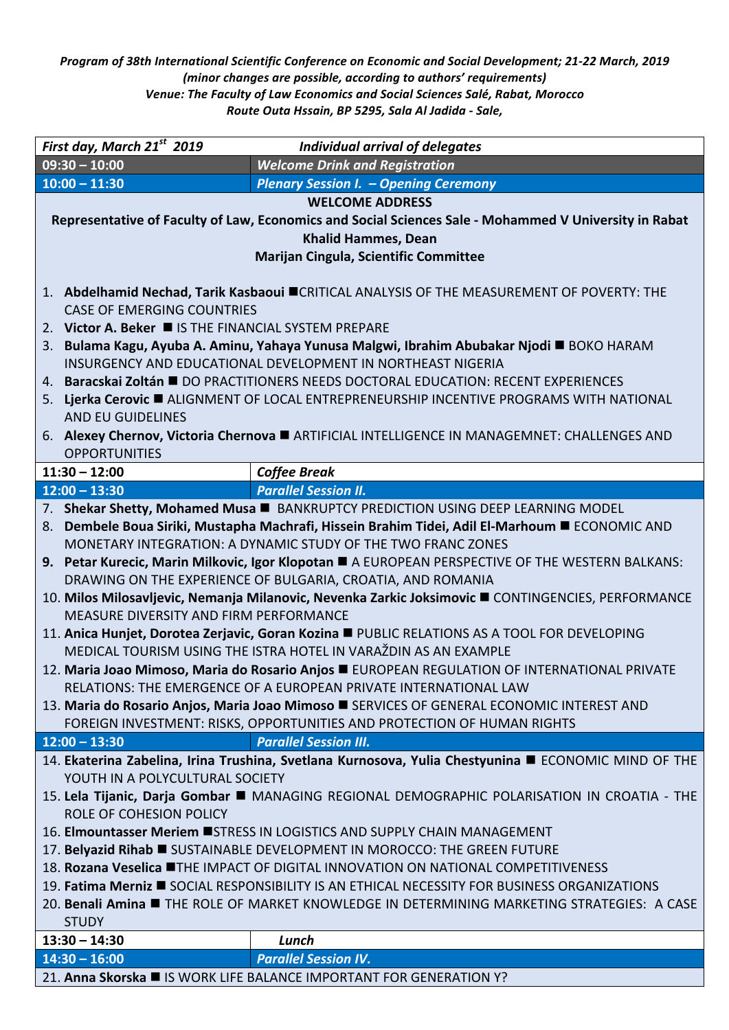*Program of 38th International Scientific Conference on Economic and Social Development; 21-22 March, 2019 (minor changes are possible, according to authors' requirements) Venue: The Faculty of Law Economics and Social Sciences Salé, Rabat, Morocco Route Outa Hssain, BP 5295, Sala Al Jadida - Sale,* 

| $09:30 - 10:00$<br><b>Welcome Drink and Registration</b><br>$10:00 - 11:30$<br><b>Plenary Session I. - Opening Ceremony</b><br><b>WELCOME ADDRESS</b><br>Representative of Faculty of Law, Economics and Social Sciences Sale - Mohammed V University in Rabat<br><b>Khalid Hammes, Dean</b><br><b>Marijan Cingula, Scientific Committee</b><br>1. Abdelhamid Nechad, Tarik Kasbaoui CRITICAL ANALYSIS OF THE MEASUREMENT OF POVERTY: THE<br><b>CASE OF EMERGING COUNTRIES</b><br>2. Victor A. Beker ■ IS THE FINANCIAL SYSTEM PREPARE<br>3. Bulama Kagu, Ayuba A. Aminu, Yahaya Yunusa Malgwi, Ibrahim Abubakar Njodi ■ BOKO HARAM<br>INSURGENCY AND EDUCATIONAL DEVELOPMENT IN NORTHEAST NIGERIA<br>Baracskai Zoltán ■ DO PRACTITIONERS NEEDS DOCTORAL EDUCATION: RECENT EXPERIENCES<br>4.<br>5. Lierka Cerovic ALIGNMENT OF LOCAL ENTREPRENEURSHIP INCENTIVE PROGRAMS WITH NATIONAL<br><b>AND EU GUIDELINES</b><br>6. Alexey Chernov, Victoria Chernova ARTIFICIAL INTELLIGENCE IN MANAGEMNET: CHALLENGES AND<br><b>OPPORTUNITIES</b><br>$11:30 - 12:00$<br><b>Coffee Break</b><br>$12:00 - 13:30$<br><b>Parallel Session II.</b><br>7. Shekar Shetty, Mohamed Musa <b>BANKRUPTCY PREDICTION USING DEEP LEARNING MODEL</b><br>Dembele Boua Siriki, Mustapha Machrafi, Hissein Brahim Tidei, Adil El-Marhoum ■ ECONOMIC AND<br>8.<br>MONETARY INTEGRATION: A DYNAMIC STUDY OF THE TWO FRANC ZONES<br>9. Petar Kurecic, Marin Milkovic, Igor Klopotan A EUROPEAN PERSPECTIVE OF THE WESTERN BALKANS:<br>DRAWING ON THE EXPERIENCE OF BULGARIA, CROATIA, AND ROMANIA<br>10. Milos Milosavljevic, Nemanja Milanovic, Nevenka Zarkic Joksimovic CONTINGENCIES, PERFORMANCE<br>MEASURE DIVERSITY AND FIRM PERFORMANCE<br>11. Anica Hunjet, Dorotea Zerjavic, Goran Kozina PUBLIC RELATIONS AS A TOOL FOR DEVELOPING<br>MEDICAL TOURISM USING THE ISTRA HOTEL IN VARAŽDIN AS AN EXAMPLE<br>12. Maria Joao Mimoso, Maria do Rosario Anjos E EUROPEAN REGULATION OF INTERNATIONAL PRIVATE<br>RELATIONS: THE EMERGENCE OF A EUROPEAN PRIVATE INTERNATIONAL LAW<br>13. Maria do Rosario Anjos, Maria Joao Mimoso SERVICES OF GENERAL ECONOMIC INTEREST AND<br>FOREIGN INVESTMENT: RISKS, OPPORTUNITIES AND PROTECTION OF HUMAN RIGHTS<br><b>Parallel Session III.</b><br>$12:00 - 13:30$<br>14. Ekaterina Zabelina, Irina Trushina, Svetlana Kurnosova, Yulia Chestyunina ■ ECONOMIC MIND OF THE<br>YOUTH IN A POLYCULTURAL SOCIETY<br>15. Lela Tijanic, Darja Gombar ■ MANAGING REGIONAL DEMOGRAPHIC POLARISATION IN CROATIA - THE<br>ROLE OF COHESION POLICY<br>16. Elmountasser Meriem USTRESS IN LOGISTICS AND SUPPLY CHAIN MANAGEMENT<br>17. Belyazid Rihab SUSTAINABLE DEVELOPMENT IN MOROCCO: THE GREEN FUTURE<br>18. Rozana Veselica UTHE IMPACT OF DIGITAL INNOVATION ON NATIONAL COMPETITIVENESS<br>19. Fatima Merniz <b>E</b> SOCIAL RESPONSIBILITY IS AN ETHICAL NECESSITY FOR BUSINESS ORGANIZATIONS<br>20. Benali Amina ■ THE ROLE OF MARKET KNOWLEDGE IN DETERMINING MARKETING STRATEGIES: A CASE<br><b>STUDY</b><br>$13:30 - 14:30$<br>Lunch<br><b>Parallel Session IV.</b><br>$14:30 - 16:00$<br>21. Anna Skorska II IS WORK LIFE BALANCE IMPORTANT FOR GENERATION Y? | First day, March 21st 2019 | <b>Individual arrival of delegates</b> |  |
|--------------------------------------------------------------------------------------------------------------------------------------------------------------------------------------------------------------------------------------------------------------------------------------------------------------------------------------------------------------------------------------------------------------------------------------------------------------------------------------------------------------------------------------------------------------------------------------------------------------------------------------------------------------------------------------------------------------------------------------------------------------------------------------------------------------------------------------------------------------------------------------------------------------------------------------------------------------------------------------------------------------------------------------------------------------------------------------------------------------------------------------------------------------------------------------------------------------------------------------------------------------------------------------------------------------------------------------------------------------------------------------------------------------------------------------------------------------------------------------------------------------------------------------------------------------------------------------------------------------------------------------------------------------------------------------------------------------------------------------------------------------------------------------------------------------------------------------------------------------------------------------------------------------------------------------------------------------------------------------------------------------------------------------------------------------------------------------------------------------------------------------------------------------------------------------------------------------------------------------------------------------------------------------------------------------------------------------------------------------------------------------------------------------------------------------------------------------------------------------------------------------------------------------------------------------------------------------------------------------------------------------------------------------------------------------------------------------------------------------------------------------------------------------------------------------------------------------------------------------------------------------------------------------------------------------------------------------------------------------------------------------------------------------------------------------------------------------------------------------------------------------------------------------------------------|----------------------------|----------------------------------------|--|
|                                                                                                                                                                                                                                                                                                                                                                                                                                                                                                                                                                                                                                                                                                                                                                                                                                                                                                                                                                                                                                                                                                                                                                                                                                                                                                                                                                                                                                                                                                                                                                                                                                                                                                                                                                                                                                                                                                                                                                                                                                                                                                                                                                                                                                                                                                                                                                                                                                                                                                                                                                                                                                                                                                                                                                                                                                                                                                                                                                                                                                                                                                                                                                                |                            |                                        |  |
|                                                                                                                                                                                                                                                                                                                                                                                                                                                                                                                                                                                                                                                                                                                                                                                                                                                                                                                                                                                                                                                                                                                                                                                                                                                                                                                                                                                                                                                                                                                                                                                                                                                                                                                                                                                                                                                                                                                                                                                                                                                                                                                                                                                                                                                                                                                                                                                                                                                                                                                                                                                                                                                                                                                                                                                                                                                                                                                                                                                                                                                                                                                                                                                |                            |                                        |  |
|                                                                                                                                                                                                                                                                                                                                                                                                                                                                                                                                                                                                                                                                                                                                                                                                                                                                                                                                                                                                                                                                                                                                                                                                                                                                                                                                                                                                                                                                                                                                                                                                                                                                                                                                                                                                                                                                                                                                                                                                                                                                                                                                                                                                                                                                                                                                                                                                                                                                                                                                                                                                                                                                                                                                                                                                                                                                                                                                                                                                                                                                                                                                                                                |                            |                                        |  |
|                                                                                                                                                                                                                                                                                                                                                                                                                                                                                                                                                                                                                                                                                                                                                                                                                                                                                                                                                                                                                                                                                                                                                                                                                                                                                                                                                                                                                                                                                                                                                                                                                                                                                                                                                                                                                                                                                                                                                                                                                                                                                                                                                                                                                                                                                                                                                                                                                                                                                                                                                                                                                                                                                                                                                                                                                                                                                                                                                                                                                                                                                                                                                                                |                            |                                        |  |
|                                                                                                                                                                                                                                                                                                                                                                                                                                                                                                                                                                                                                                                                                                                                                                                                                                                                                                                                                                                                                                                                                                                                                                                                                                                                                                                                                                                                                                                                                                                                                                                                                                                                                                                                                                                                                                                                                                                                                                                                                                                                                                                                                                                                                                                                                                                                                                                                                                                                                                                                                                                                                                                                                                                                                                                                                                                                                                                                                                                                                                                                                                                                                                                |                            |                                        |  |
|                                                                                                                                                                                                                                                                                                                                                                                                                                                                                                                                                                                                                                                                                                                                                                                                                                                                                                                                                                                                                                                                                                                                                                                                                                                                                                                                                                                                                                                                                                                                                                                                                                                                                                                                                                                                                                                                                                                                                                                                                                                                                                                                                                                                                                                                                                                                                                                                                                                                                                                                                                                                                                                                                                                                                                                                                                                                                                                                                                                                                                                                                                                                                                                |                            |                                        |  |
|                                                                                                                                                                                                                                                                                                                                                                                                                                                                                                                                                                                                                                                                                                                                                                                                                                                                                                                                                                                                                                                                                                                                                                                                                                                                                                                                                                                                                                                                                                                                                                                                                                                                                                                                                                                                                                                                                                                                                                                                                                                                                                                                                                                                                                                                                                                                                                                                                                                                                                                                                                                                                                                                                                                                                                                                                                                                                                                                                                                                                                                                                                                                                                                |                            |                                        |  |
|                                                                                                                                                                                                                                                                                                                                                                                                                                                                                                                                                                                                                                                                                                                                                                                                                                                                                                                                                                                                                                                                                                                                                                                                                                                                                                                                                                                                                                                                                                                                                                                                                                                                                                                                                                                                                                                                                                                                                                                                                                                                                                                                                                                                                                                                                                                                                                                                                                                                                                                                                                                                                                                                                                                                                                                                                                                                                                                                                                                                                                                                                                                                                                                |                            |                                        |  |
|                                                                                                                                                                                                                                                                                                                                                                                                                                                                                                                                                                                                                                                                                                                                                                                                                                                                                                                                                                                                                                                                                                                                                                                                                                                                                                                                                                                                                                                                                                                                                                                                                                                                                                                                                                                                                                                                                                                                                                                                                                                                                                                                                                                                                                                                                                                                                                                                                                                                                                                                                                                                                                                                                                                                                                                                                                                                                                                                                                                                                                                                                                                                                                                |                            |                                        |  |
|                                                                                                                                                                                                                                                                                                                                                                                                                                                                                                                                                                                                                                                                                                                                                                                                                                                                                                                                                                                                                                                                                                                                                                                                                                                                                                                                                                                                                                                                                                                                                                                                                                                                                                                                                                                                                                                                                                                                                                                                                                                                                                                                                                                                                                                                                                                                                                                                                                                                                                                                                                                                                                                                                                                                                                                                                                                                                                                                                                                                                                                                                                                                                                                |                            |                                        |  |
|                                                                                                                                                                                                                                                                                                                                                                                                                                                                                                                                                                                                                                                                                                                                                                                                                                                                                                                                                                                                                                                                                                                                                                                                                                                                                                                                                                                                                                                                                                                                                                                                                                                                                                                                                                                                                                                                                                                                                                                                                                                                                                                                                                                                                                                                                                                                                                                                                                                                                                                                                                                                                                                                                                                                                                                                                                                                                                                                                                                                                                                                                                                                                                                |                            |                                        |  |
|                                                                                                                                                                                                                                                                                                                                                                                                                                                                                                                                                                                                                                                                                                                                                                                                                                                                                                                                                                                                                                                                                                                                                                                                                                                                                                                                                                                                                                                                                                                                                                                                                                                                                                                                                                                                                                                                                                                                                                                                                                                                                                                                                                                                                                                                                                                                                                                                                                                                                                                                                                                                                                                                                                                                                                                                                                                                                                                                                                                                                                                                                                                                                                                |                            |                                        |  |
|                                                                                                                                                                                                                                                                                                                                                                                                                                                                                                                                                                                                                                                                                                                                                                                                                                                                                                                                                                                                                                                                                                                                                                                                                                                                                                                                                                                                                                                                                                                                                                                                                                                                                                                                                                                                                                                                                                                                                                                                                                                                                                                                                                                                                                                                                                                                                                                                                                                                                                                                                                                                                                                                                                                                                                                                                                                                                                                                                                                                                                                                                                                                                                                |                            |                                        |  |
|                                                                                                                                                                                                                                                                                                                                                                                                                                                                                                                                                                                                                                                                                                                                                                                                                                                                                                                                                                                                                                                                                                                                                                                                                                                                                                                                                                                                                                                                                                                                                                                                                                                                                                                                                                                                                                                                                                                                                                                                                                                                                                                                                                                                                                                                                                                                                                                                                                                                                                                                                                                                                                                                                                                                                                                                                                                                                                                                                                                                                                                                                                                                                                                |                            |                                        |  |
|                                                                                                                                                                                                                                                                                                                                                                                                                                                                                                                                                                                                                                                                                                                                                                                                                                                                                                                                                                                                                                                                                                                                                                                                                                                                                                                                                                                                                                                                                                                                                                                                                                                                                                                                                                                                                                                                                                                                                                                                                                                                                                                                                                                                                                                                                                                                                                                                                                                                                                                                                                                                                                                                                                                                                                                                                                                                                                                                                                                                                                                                                                                                                                                |                            |                                        |  |
|                                                                                                                                                                                                                                                                                                                                                                                                                                                                                                                                                                                                                                                                                                                                                                                                                                                                                                                                                                                                                                                                                                                                                                                                                                                                                                                                                                                                                                                                                                                                                                                                                                                                                                                                                                                                                                                                                                                                                                                                                                                                                                                                                                                                                                                                                                                                                                                                                                                                                                                                                                                                                                                                                                                                                                                                                                                                                                                                                                                                                                                                                                                                                                                |                            |                                        |  |
|                                                                                                                                                                                                                                                                                                                                                                                                                                                                                                                                                                                                                                                                                                                                                                                                                                                                                                                                                                                                                                                                                                                                                                                                                                                                                                                                                                                                                                                                                                                                                                                                                                                                                                                                                                                                                                                                                                                                                                                                                                                                                                                                                                                                                                                                                                                                                                                                                                                                                                                                                                                                                                                                                                                                                                                                                                                                                                                                                                                                                                                                                                                                                                                |                            |                                        |  |
|                                                                                                                                                                                                                                                                                                                                                                                                                                                                                                                                                                                                                                                                                                                                                                                                                                                                                                                                                                                                                                                                                                                                                                                                                                                                                                                                                                                                                                                                                                                                                                                                                                                                                                                                                                                                                                                                                                                                                                                                                                                                                                                                                                                                                                                                                                                                                                                                                                                                                                                                                                                                                                                                                                                                                                                                                                                                                                                                                                                                                                                                                                                                                                                |                            |                                        |  |
|                                                                                                                                                                                                                                                                                                                                                                                                                                                                                                                                                                                                                                                                                                                                                                                                                                                                                                                                                                                                                                                                                                                                                                                                                                                                                                                                                                                                                                                                                                                                                                                                                                                                                                                                                                                                                                                                                                                                                                                                                                                                                                                                                                                                                                                                                                                                                                                                                                                                                                                                                                                                                                                                                                                                                                                                                                                                                                                                                                                                                                                                                                                                                                                |                            |                                        |  |
|                                                                                                                                                                                                                                                                                                                                                                                                                                                                                                                                                                                                                                                                                                                                                                                                                                                                                                                                                                                                                                                                                                                                                                                                                                                                                                                                                                                                                                                                                                                                                                                                                                                                                                                                                                                                                                                                                                                                                                                                                                                                                                                                                                                                                                                                                                                                                                                                                                                                                                                                                                                                                                                                                                                                                                                                                                                                                                                                                                                                                                                                                                                                                                                |                            |                                        |  |
|                                                                                                                                                                                                                                                                                                                                                                                                                                                                                                                                                                                                                                                                                                                                                                                                                                                                                                                                                                                                                                                                                                                                                                                                                                                                                                                                                                                                                                                                                                                                                                                                                                                                                                                                                                                                                                                                                                                                                                                                                                                                                                                                                                                                                                                                                                                                                                                                                                                                                                                                                                                                                                                                                                                                                                                                                                                                                                                                                                                                                                                                                                                                                                                |                            |                                        |  |
|                                                                                                                                                                                                                                                                                                                                                                                                                                                                                                                                                                                                                                                                                                                                                                                                                                                                                                                                                                                                                                                                                                                                                                                                                                                                                                                                                                                                                                                                                                                                                                                                                                                                                                                                                                                                                                                                                                                                                                                                                                                                                                                                                                                                                                                                                                                                                                                                                                                                                                                                                                                                                                                                                                                                                                                                                                                                                                                                                                                                                                                                                                                                                                                |                            |                                        |  |
|                                                                                                                                                                                                                                                                                                                                                                                                                                                                                                                                                                                                                                                                                                                                                                                                                                                                                                                                                                                                                                                                                                                                                                                                                                                                                                                                                                                                                                                                                                                                                                                                                                                                                                                                                                                                                                                                                                                                                                                                                                                                                                                                                                                                                                                                                                                                                                                                                                                                                                                                                                                                                                                                                                                                                                                                                                                                                                                                                                                                                                                                                                                                                                                |                            |                                        |  |
|                                                                                                                                                                                                                                                                                                                                                                                                                                                                                                                                                                                                                                                                                                                                                                                                                                                                                                                                                                                                                                                                                                                                                                                                                                                                                                                                                                                                                                                                                                                                                                                                                                                                                                                                                                                                                                                                                                                                                                                                                                                                                                                                                                                                                                                                                                                                                                                                                                                                                                                                                                                                                                                                                                                                                                                                                                                                                                                                                                                                                                                                                                                                                                                |                            |                                        |  |
|                                                                                                                                                                                                                                                                                                                                                                                                                                                                                                                                                                                                                                                                                                                                                                                                                                                                                                                                                                                                                                                                                                                                                                                                                                                                                                                                                                                                                                                                                                                                                                                                                                                                                                                                                                                                                                                                                                                                                                                                                                                                                                                                                                                                                                                                                                                                                                                                                                                                                                                                                                                                                                                                                                                                                                                                                                                                                                                                                                                                                                                                                                                                                                                |                            |                                        |  |
|                                                                                                                                                                                                                                                                                                                                                                                                                                                                                                                                                                                                                                                                                                                                                                                                                                                                                                                                                                                                                                                                                                                                                                                                                                                                                                                                                                                                                                                                                                                                                                                                                                                                                                                                                                                                                                                                                                                                                                                                                                                                                                                                                                                                                                                                                                                                                                                                                                                                                                                                                                                                                                                                                                                                                                                                                                                                                                                                                                                                                                                                                                                                                                                |                            |                                        |  |
|                                                                                                                                                                                                                                                                                                                                                                                                                                                                                                                                                                                                                                                                                                                                                                                                                                                                                                                                                                                                                                                                                                                                                                                                                                                                                                                                                                                                                                                                                                                                                                                                                                                                                                                                                                                                                                                                                                                                                                                                                                                                                                                                                                                                                                                                                                                                                                                                                                                                                                                                                                                                                                                                                                                                                                                                                                                                                                                                                                                                                                                                                                                                                                                |                            |                                        |  |
|                                                                                                                                                                                                                                                                                                                                                                                                                                                                                                                                                                                                                                                                                                                                                                                                                                                                                                                                                                                                                                                                                                                                                                                                                                                                                                                                                                                                                                                                                                                                                                                                                                                                                                                                                                                                                                                                                                                                                                                                                                                                                                                                                                                                                                                                                                                                                                                                                                                                                                                                                                                                                                                                                                                                                                                                                                                                                                                                                                                                                                                                                                                                                                                |                            |                                        |  |
|                                                                                                                                                                                                                                                                                                                                                                                                                                                                                                                                                                                                                                                                                                                                                                                                                                                                                                                                                                                                                                                                                                                                                                                                                                                                                                                                                                                                                                                                                                                                                                                                                                                                                                                                                                                                                                                                                                                                                                                                                                                                                                                                                                                                                                                                                                                                                                                                                                                                                                                                                                                                                                                                                                                                                                                                                                                                                                                                                                                                                                                                                                                                                                                |                            |                                        |  |
|                                                                                                                                                                                                                                                                                                                                                                                                                                                                                                                                                                                                                                                                                                                                                                                                                                                                                                                                                                                                                                                                                                                                                                                                                                                                                                                                                                                                                                                                                                                                                                                                                                                                                                                                                                                                                                                                                                                                                                                                                                                                                                                                                                                                                                                                                                                                                                                                                                                                                                                                                                                                                                                                                                                                                                                                                                                                                                                                                                                                                                                                                                                                                                                |                            |                                        |  |
|                                                                                                                                                                                                                                                                                                                                                                                                                                                                                                                                                                                                                                                                                                                                                                                                                                                                                                                                                                                                                                                                                                                                                                                                                                                                                                                                                                                                                                                                                                                                                                                                                                                                                                                                                                                                                                                                                                                                                                                                                                                                                                                                                                                                                                                                                                                                                                                                                                                                                                                                                                                                                                                                                                                                                                                                                                                                                                                                                                                                                                                                                                                                                                                |                            |                                        |  |
|                                                                                                                                                                                                                                                                                                                                                                                                                                                                                                                                                                                                                                                                                                                                                                                                                                                                                                                                                                                                                                                                                                                                                                                                                                                                                                                                                                                                                                                                                                                                                                                                                                                                                                                                                                                                                                                                                                                                                                                                                                                                                                                                                                                                                                                                                                                                                                                                                                                                                                                                                                                                                                                                                                                                                                                                                                                                                                                                                                                                                                                                                                                                                                                |                            |                                        |  |
|                                                                                                                                                                                                                                                                                                                                                                                                                                                                                                                                                                                                                                                                                                                                                                                                                                                                                                                                                                                                                                                                                                                                                                                                                                                                                                                                                                                                                                                                                                                                                                                                                                                                                                                                                                                                                                                                                                                                                                                                                                                                                                                                                                                                                                                                                                                                                                                                                                                                                                                                                                                                                                                                                                                                                                                                                                                                                                                                                                                                                                                                                                                                                                                |                            |                                        |  |
|                                                                                                                                                                                                                                                                                                                                                                                                                                                                                                                                                                                                                                                                                                                                                                                                                                                                                                                                                                                                                                                                                                                                                                                                                                                                                                                                                                                                                                                                                                                                                                                                                                                                                                                                                                                                                                                                                                                                                                                                                                                                                                                                                                                                                                                                                                                                                                                                                                                                                                                                                                                                                                                                                                                                                                                                                                                                                                                                                                                                                                                                                                                                                                                |                            |                                        |  |
|                                                                                                                                                                                                                                                                                                                                                                                                                                                                                                                                                                                                                                                                                                                                                                                                                                                                                                                                                                                                                                                                                                                                                                                                                                                                                                                                                                                                                                                                                                                                                                                                                                                                                                                                                                                                                                                                                                                                                                                                                                                                                                                                                                                                                                                                                                                                                                                                                                                                                                                                                                                                                                                                                                                                                                                                                                                                                                                                                                                                                                                                                                                                                                                |                            |                                        |  |
|                                                                                                                                                                                                                                                                                                                                                                                                                                                                                                                                                                                                                                                                                                                                                                                                                                                                                                                                                                                                                                                                                                                                                                                                                                                                                                                                                                                                                                                                                                                                                                                                                                                                                                                                                                                                                                                                                                                                                                                                                                                                                                                                                                                                                                                                                                                                                                                                                                                                                                                                                                                                                                                                                                                                                                                                                                                                                                                                                                                                                                                                                                                                                                                |                            |                                        |  |
|                                                                                                                                                                                                                                                                                                                                                                                                                                                                                                                                                                                                                                                                                                                                                                                                                                                                                                                                                                                                                                                                                                                                                                                                                                                                                                                                                                                                                                                                                                                                                                                                                                                                                                                                                                                                                                                                                                                                                                                                                                                                                                                                                                                                                                                                                                                                                                                                                                                                                                                                                                                                                                                                                                                                                                                                                                                                                                                                                                                                                                                                                                                                                                                |                            |                                        |  |
|                                                                                                                                                                                                                                                                                                                                                                                                                                                                                                                                                                                                                                                                                                                                                                                                                                                                                                                                                                                                                                                                                                                                                                                                                                                                                                                                                                                                                                                                                                                                                                                                                                                                                                                                                                                                                                                                                                                                                                                                                                                                                                                                                                                                                                                                                                                                                                                                                                                                                                                                                                                                                                                                                                                                                                                                                                                                                                                                                                                                                                                                                                                                                                                |                            |                                        |  |
|                                                                                                                                                                                                                                                                                                                                                                                                                                                                                                                                                                                                                                                                                                                                                                                                                                                                                                                                                                                                                                                                                                                                                                                                                                                                                                                                                                                                                                                                                                                                                                                                                                                                                                                                                                                                                                                                                                                                                                                                                                                                                                                                                                                                                                                                                                                                                                                                                                                                                                                                                                                                                                                                                                                                                                                                                                                                                                                                                                                                                                                                                                                                                                                |                            |                                        |  |
|                                                                                                                                                                                                                                                                                                                                                                                                                                                                                                                                                                                                                                                                                                                                                                                                                                                                                                                                                                                                                                                                                                                                                                                                                                                                                                                                                                                                                                                                                                                                                                                                                                                                                                                                                                                                                                                                                                                                                                                                                                                                                                                                                                                                                                                                                                                                                                                                                                                                                                                                                                                                                                                                                                                                                                                                                                                                                                                                                                                                                                                                                                                                                                                |                            |                                        |  |
|                                                                                                                                                                                                                                                                                                                                                                                                                                                                                                                                                                                                                                                                                                                                                                                                                                                                                                                                                                                                                                                                                                                                                                                                                                                                                                                                                                                                                                                                                                                                                                                                                                                                                                                                                                                                                                                                                                                                                                                                                                                                                                                                                                                                                                                                                                                                                                                                                                                                                                                                                                                                                                                                                                                                                                                                                                                                                                                                                                                                                                                                                                                                                                                |                            |                                        |  |
|                                                                                                                                                                                                                                                                                                                                                                                                                                                                                                                                                                                                                                                                                                                                                                                                                                                                                                                                                                                                                                                                                                                                                                                                                                                                                                                                                                                                                                                                                                                                                                                                                                                                                                                                                                                                                                                                                                                                                                                                                                                                                                                                                                                                                                                                                                                                                                                                                                                                                                                                                                                                                                                                                                                                                                                                                                                                                                                                                                                                                                                                                                                                                                                |                            |                                        |  |
|                                                                                                                                                                                                                                                                                                                                                                                                                                                                                                                                                                                                                                                                                                                                                                                                                                                                                                                                                                                                                                                                                                                                                                                                                                                                                                                                                                                                                                                                                                                                                                                                                                                                                                                                                                                                                                                                                                                                                                                                                                                                                                                                                                                                                                                                                                                                                                                                                                                                                                                                                                                                                                                                                                                                                                                                                                                                                                                                                                                                                                                                                                                                                                                |                            |                                        |  |